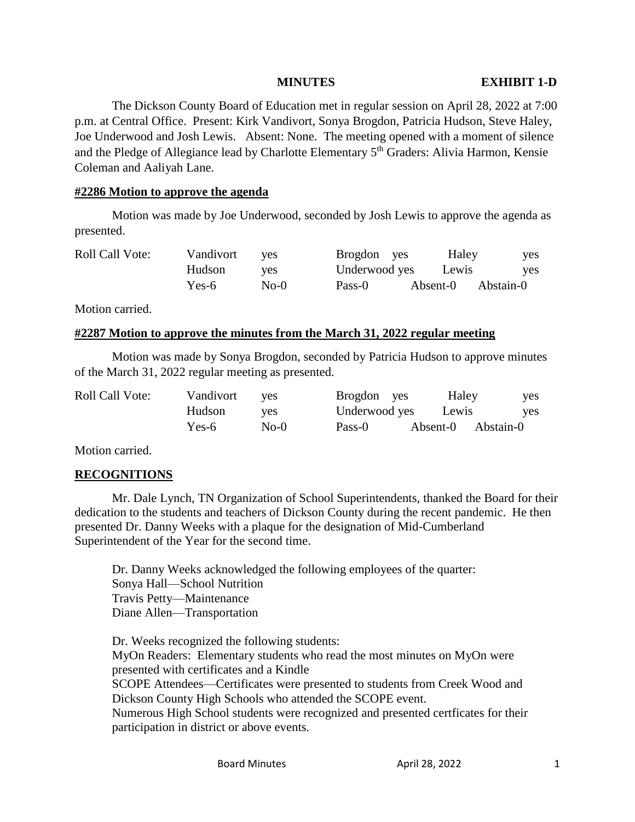#### **MINUTES EXHIBIT 1-D**

The Dickson County Board of Education met in regular session on April 28, 2022 at 7:00 p.m. at Central Office. Present: Kirk Vandivort, Sonya Brogdon, Patricia Hudson, Steve Haley, Joe Underwood and Josh Lewis. Absent: None. The meeting opened with a moment of silence and the Pledge of Allegiance lead by Charlotte Elementary 5<sup>th</sup> Graders: Alivia Harmon, Kensie Coleman and Aaliyah Lane.

#### **#2286 Motion to approve the agenda**

Motion was made by Joe Underwood, seconded by Josh Lewis to approve the agenda as presented.

| <b>Roll Call Vote:</b> | Vandivort | <b>ves</b> | Brogdon yes   | Haley    | yes        |
|------------------------|-----------|------------|---------------|----------|------------|
|                        | Hudson    | ves        | Underwood yes | Lewis    | <b>ves</b> |
|                        | Yes-6     | $No-0$     | Pass-0        | Absent-0 | Abstain-0  |

Motion carried.

#### **#2287 Motion to approve the minutes from the March 31, 2022 regular meeting**

Motion was made by Sonya Brogdon, seconded by Patricia Hudson to approve minutes of the March 31, 2022 regular meeting as presented.

| <b>Roll Call Vote:</b> | Vandivort | <b>ves</b> | Brogdon yes   | Haley    | yes       |
|------------------------|-----------|------------|---------------|----------|-----------|
|                        | Hudson    | ves        | Underwood yes | Lewis    | yes       |
|                        | Yes-6     | No-0       | Pass-0        | Absent-0 | Abstain-0 |

Motion carried.

## **RECOGNITIONS**

Mr. Dale Lynch, TN Organization of School Superintendents, thanked the Board for their dedication to the students and teachers of Dickson County during the recent pandemic. He then presented Dr. Danny Weeks with a plaque for the designation of Mid-Cumberland Superintendent of the Year for the second time.

Dr. Danny Weeks acknowledged the following employees of the quarter: Sonya Hall—School Nutrition Travis Petty—Maintenance Diane Allen—Transportation

Dr. Weeks recognized the following students: MyOn Readers: Elementary students who read the most minutes on MyOn were presented with certificates and a Kindle SCOPE Attendees—Certificates were presented to students from Creek Wood and Dickson County High Schools who attended the SCOPE event. Numerous High School students were recognized and presented certficates for their participation in district or above events.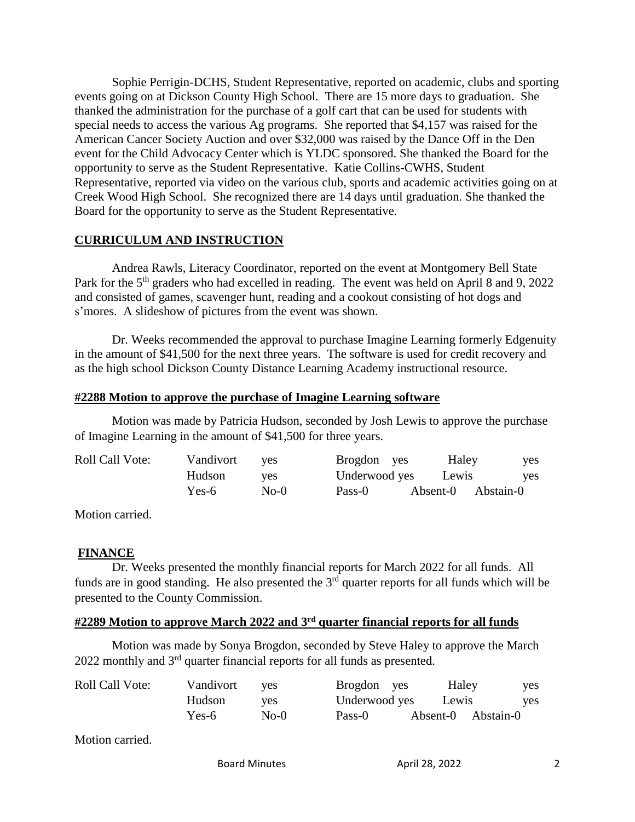Sophie Perrigin-DCHS, Student Representative, reported on academic, clubs and sporting events going on at Dickson County High School. There are 15 more days to graduation. She thanked the administration for the purchase of a golf cart that can be used for students with special needs to access the various Ag programs. She reported that \$4,157 was raised for the American Cancer Society Auction and over \$32,000 was raised by the Dance Off in the Den event for the Child Advocacy Center which is YLDC sponsored. She thanked the Board for the opportunity to serve as the Student Representative. Katie Collins-CWHS, Student Representative, reported via video on the various club, sports and academic activities going on at Creek Wood High School. She recognized there are 14 days until graduation. She thanked the Board for the opportunity to serve as the Student Representative.

## **CURRICULUM AND INSTRUCTION**

Andrea Rawls, Literacy Coordinator, reported on the event at Montgomery Bell State Park for the 5<sup>th</sup> graders who had excelled in reading. The event was held on April 8 and 9, 2022 and consisted of games, scavenger hunt, reading and a cookout consisting of hot dogs and s'mores. A slideshow of pictures from the event was shown.

Dr. Weeks recommended the approval to purchase Imagine Learning formerly Edgenuity in the amount of \$41,500 for the next three years. The software is used for credit recovery and as the high school Dickson County Distance Learning Academy instructional resource.

## **#2288 Motion to approve the purchase of Imagine Learning software**

Motion was made by Patricia Hudson, seconded by Josh Lewis to approve the purchase of Imagine Learning in the amount of \$41,500 for three years.

| <b>Roll Call Vote:</b> | Vandivort | <b>ves</b> | Brogdon yes   | Haley              | yes |
|------------------------|-----------|------------|---------------|--------------------|-----|
|                        | Hudson    | <b>ves</b> | Underwood yes | Lewis              | ves |
|                        | Yes-6     | $No-0$     | Pass-0        | Absent-0 Abstain-0 |     |

Motion carried.

# **FINANCE**

Dr. Weeks presented the monthly financial reports for March 2022 for all funds. All funds are in good standing. He also presented the  $3<sup>rd</sup>$  quarter reports for all funds which will be presented to the County Commission.

# **#2289 Motion to approve March 2022 and 3rd quarter financial reports for all funds**

Motion was made by Sonya Brogdon, seconded by Steve Haley to approve the March 2022 monthly and 3rd quarter financial reports for all funds as presented.

| <b>Roll Call Vote:</b> | Vandivort | <b>ves</b> | Brogdon yes   | Haley              | yes |
|------------------------|-----------|------------|---------------|--------------------|-----|
|                        | Hudson    | <b>ves</b> | Underwood yes | Lewis              | yes |
|                        | Yes-6     | $No-0$     | Pass-0        | Absent-0 Abstain-0 |     |

Motion carried.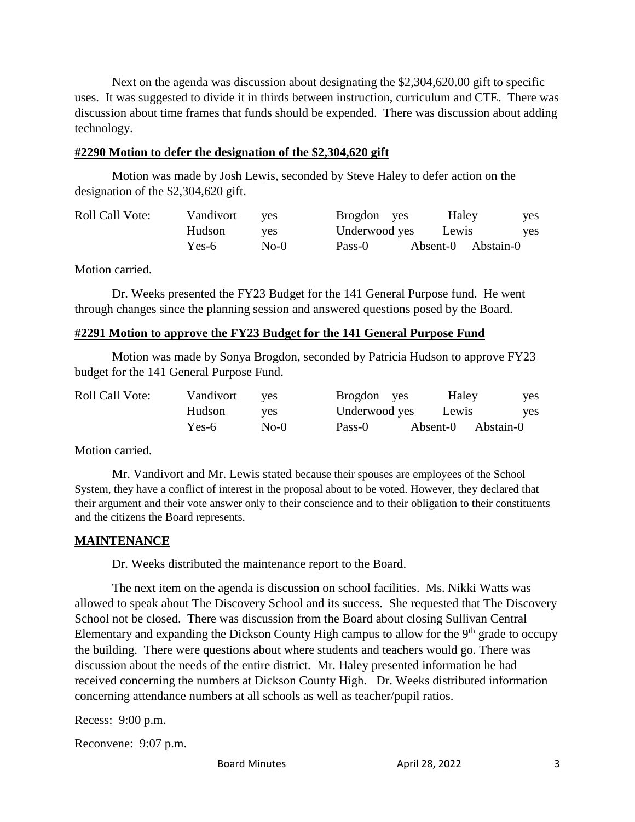Next on the agenda was discussion about designating the \$2,304,620.00 gift to specific uses. It was suggested to divide it in thirds between instruction, curriculum and CTE. There was discussion about time frames that funds should be expended. There was discussion about adding technology.

#### **#2290 Motion to defer the designation of the \$2,304,620 gift**

Motion was made by Josh Lewis, seconded by Steve Haley to defer action on the designation of the \$2,304,620 gift.

| <b>Roll Call Vote:</b> | Vandivort | <b>ves</b> | Brogdon yes   | Haley              | yes        |
|------------------------|-----------|------------|---------------|--------------------|------------|
|                        | Hudson    | yes        | Underwood yes | Lewis              | <b>ves</b> |
|                        | Yes-6     | $No-0$     | Pass-0        | Absent-0 Abstain-0 |            |

Motion carried.

Dr. Weeks presented the FY23 Budget for the 141 General Purpose fund. He went through changes since the planning session and answered questions posed by the Board.

## **#2291 Motion to approve the FY23 Budget for the 141 General Purpose Fund**

Motion was made by Sonya Brogdon, seconded by Patricia Hudson to approve FY23 budget for the 141 General Purpose Fund.

| <b>Roll Call Vote:</b> | Vandivort | ves        | Brogdon yes   | Haley              | yes |
|------------------------|-----------|------------|---------------|--------------------|-----|
|                        | Hudson    | <b>ves</b> | Underwood yes | Lewis              | ves |
|                        | Yes-6     | $No-0$     | Pass-0        | Absent-0 Abstain-0 |     |

Motion carried.

Mr. Vandivort and Mr. Lewis stated because their spouses are employees of the School System, they have a conflict of interest in the proposal about to be voted. However, they declared that their argument and their vote answer only to their conscience and to their obligation to their constituents and the citizens the Board represents.

## **MAINTENANCE**

Dr. Weeks distributed the maintenance report to the Board.

The next item on the agenda is discussion on school facilities. Ms. Nikki Watts was allowed to speak about The Discovery School and its success. She requested that The Discovery School not be closed. There was discussion from the Board about closing Sullivan Central Elementary and expanding the Dickson County High campus to allow for the  $9<sup>th</sup>$  grade to occupy the building. There were questions about where students and teachers would go. There was discussion about the needs of the entire district. Mr. Haley presented information he had received concerning the numbers at Dickson County High. Dr. Weeks distributed information concerning attendance numbers at all schools as well as teacher/pupil ratios.

Recess: 9:00 p.m.

Reconvene: 9:07 p.m.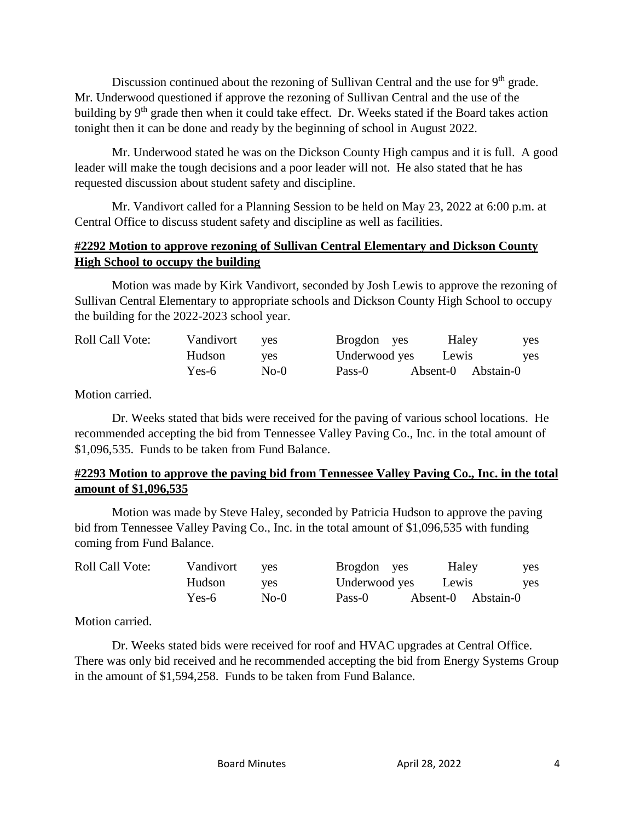Discussion continued about the rezoning of Sullivan Central and the use for 9<sup>th</sup> grade. Mr. Underwood questioned if approve the rezoning of Sullivan Central and the use of the building by 9<sup>th</sup> grade then when it could take effect. Dr. Weeks stated if the Board takes action tonight then it can be done and ready by the beginning of school in August 2022.

Mr. Underwood stated he was on the Dickson County High campus and it is full. A good leader will make the tough decisions and a poor leader will not. He also stated that he has requested discussion about student safety and discipline.

Mr. Vandivort called for a Planning Session to be held on May 23, 2022 at 6:00 p.m. at Central Office to discuss student safety and discipline as well as facilities.

## **#2292 Motion to approve rezoning of Sullivan Central Elementary and Dickson County High School to occupy the building**

Motion was made by Kirk Vandivort, seconded by Josh Lewis to approve the rezoning of Sullivan Central Elementary to appropriate schools and Dickson County High School to occupy the building for the 2022-2023 school year.

| <b>Roll Call Vote:</b> | Vandivort | <b>ves</b> | Brogdon yes   | Haley              | yes        |
|------------------------|-----------|------------|---------------|--------------------|------------|
|                        | Hudson    | <b>ves</b> | Underwood yes | Lewis              | <b>ves</b> |
|                        | Yes-6     | $No-0$     | Pass-0        | Absent-0 Abstain-0 |            |

Motion carried.

Dr. Weeks stated that bids were received for the paving of various school locations. He recommended accepting the bid from Tennessee Valley Paving Co., Inc. in the total amount of \$1,096,535. Funds to be taken from Fund Balance.

## **#2293 Motion to approve the paving bid from Tennessee Valley Paving Co., Inc. in the total amount of \$1,096,535**

Motion was made by Steve Haley, seconded by Patricia Hudson to approve the paving bid from Tennessee Valley Paving Co., Inc. in the total amount of \$1,096,535 with funding coming from Fund Balance.

| <b>Roll Call Vote:</b> | Vandivort | <b>ves</b> | Brogdon yes   | Haley              | yes        |
|------------------------|-----------|------------|---------------|--------------------|------------|
|                        | Hudson    | ves        | Underwood yes | Lewis              | <b>ves</b> |
|                        | Yes-6     | $No-0$     | Pass-0        | Absent-0 Abstain-0 |            |

Motion carried.

Dr. Weeks stated bids were received for roof and HVAC upgrades at Central Office. There was only bid received and he recommended accepting the bid from Energy Systems Group in the amount of \$1,594,258. Funds to be taken from Fund Balance.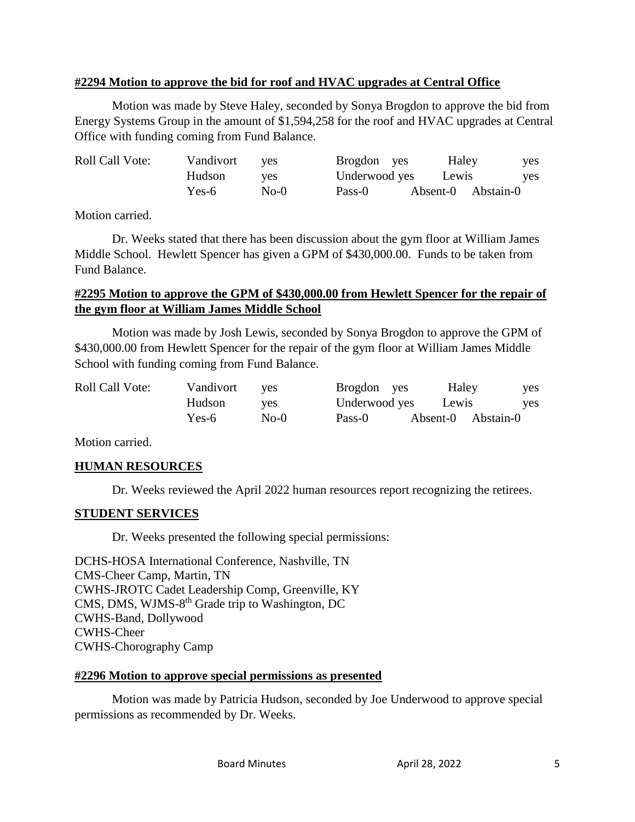#### **#2294 Motion to approve the bid for roof and HVAC upgrades at Central Office**

Motion was made by Steve Haley, seconded by Sonya Brogdon to approve the bid from Energy Systems Group in the amount of \$1,594,258 for the roof and HVAC upgrades at Central Office with funding coming from Fund Balance.

| <b>Roll Call Vote:</b> | Vandivort | <b>ves</b> | Brogdon yes   | Haley              | yes        |
|------------------------|-----------|------------|---------------|--------------------|------------|
|                        | Hudson    | <b>ves</b> | Underwood yes | Lewis              | <b>ves</b> |
|                        | Yes-6     | $No-0$     | Pass-0        | Absent-0 Abstain-0 |            |

Motion carried.

Dr. Weeks stated that there has been discussion about the gym floor at William James Middle School. Hewlett Spencer has given a GPM of \$430,000.00. Funds to be taken from Fund Balance.

#### **#2295 Motion to approve the GPM of \$430,000.00 from Hewlett Spencer for the repair of the gym floor at William James Middle School**

Motion was made by Josh Lewis, seconded by Sonya Brogdon to approve the GPM of \$430,000.00 from Hewlett Spencer for the repair of the gym floor at William James Middle School with funding coming from Fund Balance.

| <b>Roll Call Vote:</b> | Vandivort | ves    | Brogdon yes   | Haley              | <b>ves</b> |
|------------------------|-----------|--------|---------------|--------------------|------------|
|                        | Hudson    | ves    | Underwood yes | Lewis              | <b>ves</b> |
|                        | Yes-6     | $No-0$ | Pass-0        | Absent-0 Abstain-0 |            |

Motion carried.

## **HUMAN RESOURCES**

Dr. Weeks reviewed the April 2022 human resources report recognizing the retirees.

## **STUDENT SERVICES**

Dr. Weeks presented the following special permissions:

DCHS-HOSA International Conference, Nashville, TN CMS-Cheer Camp, Martin, TN CWHS-JROTC Cadet Leadership Comp, Greenville, KY CMS, DMS, WJMS-8<sup>th</sup> Grade trip to Washington, DC CWHS-Band, Dollywood CWHS-Cheer CWHS-Chorography Camp

#### **#2296 Motion to approve special permissions as presented**

Motion was made by Patricia Hudson, seconded by Joe Underwood to approve special permissions as recommended by Dr. Weeks.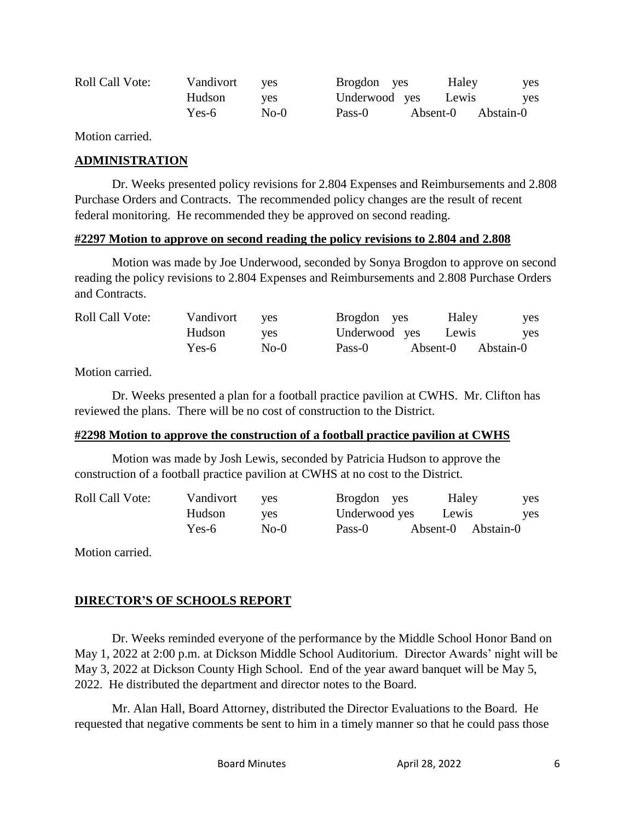| <b>Roll Call Vote:</b> | Vandivort | <b>ves</b> | Brogdon yes   | Haley    | yes       |
|------------------------|-----------|------------|---------------|----------|-----------|
|                        | Hudson    | ves        | Underwood yes | Lewis    | yes       |
|                        | Yes-6     | $No-0$     | Pass-0        | Absent-0 | Abstain-0 |

Motion carried.

#### **ADMINISTRATION**

Dr. Weeks presented policy revisions for 2.804 Expenses and Reimbursements and 2.808 Purchase Orders and Contracts. The recommended policy changes are the result of recent federal monitoring. He recommended they be approved on second reading.

#### **#2297 Motion to approve on second reading the policy revisions to 2.804 and 2.808**

Motion was made by Joe Underwood, seconded by Sonya Brogdon to approve on second reading the policy revisions to 2.804 Expenses and Reimbursements and 2.808 Purchase Orders and Contracts.

| <b>Roll Call Vote:</b> | Vandivort | <b>ves</b> | Brogdon yes   | Haley              | yes |
|------------------------|-----------|------------|---------------|--------------------|-----|
|                        | Hudson    | ves        | Underwood yes | Lewis              | yes |
|                        | Yes-6     | $No-0$     | Pass-0        | Absent-0 Abstain-0 |     |

Motion carried.

Dr. Weeks presented a plan for a football practice pavilion at CWHS. Mr. Clifton has reviewed the plans. There will be no cost of construction to the District.

#### **#2298 Motion to approve the construction of a football practice pavilion at CWHS**

Motion was made by Josh Lewis, seconded by Patricia Hudson to approve the construction of a football practice pavilion at CWHS at no cost to the District.

| <b>Roll Call Vote:</b> | Vandivort | ves    | Brogdon yes   | Haley              | yes |
|------------------------|-----------|--------|---------------|--------------------|-----|
|                        | Hudson    | ves    | Underwood yes | Lewis              | yes |
|                        | Yes-6     | $No-0$ | Pass-0        | Absent-0 Abstain-0 |     |

Motion carried.

# **DIRECTOR'S OF SCHOOLS REPORT**

Dr. Weeks reminded everyone of the performance by the Middle School Honor Band on May 1, 2022 at 2:00 p.m. at Dickson Middle School Auditorium. Director Awards' night will be May 3, 2022 at Dickson County High School. End of the year award banquet will be May 5, 2022. He distributed the department and director notes to the Board.

Mr. Alan Hall, Board Attorney, distributed the Director Evaluations to the Board. He requested that negative comments be sent to him in a timely manner so that he could pass those